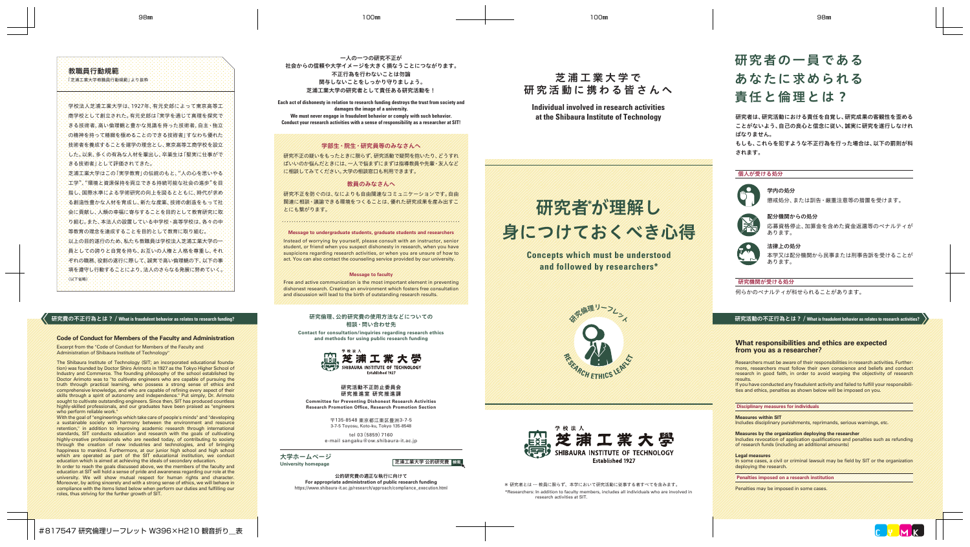# 教職員行動規範

「芝浦工業大学教職員行動規範」より抜粋

学校法人芝浦工業大学は、1927年、有元史郎によって東京高等工 商学校として創立された。有元史郎は「実学を通じて真理を探究で きる技術者、高い倫理観と豊かな見識を持った技術者、自主・独立 の精神を持って精緻を極めることのできる技術者」すなわち優れた 技術者を養成することを建学の理念とし、東京高等工商学校を設立 した。以来、多くの有為な人材を輩出し、卒業生は「堅実に仕事がで きる技術者」として評価されてきた。

芝浦工業大学はこの「実学教育」の伝統のもと、"人の心を思いやる 「工学"、"環境と資源保持を両立できる持続可能な社会の進歩"を目 おし、国際水準による学術研究の向上を図るとともに、時代が求め、 る創造性豊かな人材を育成し、新たな産業、技術の創造をもって社 会に貢献し、人類の幸福に寄与することを目的として教育研究に取 り組む。また、本法人の設置している中学校・高等学校は、各々の中 等教育の理念を達成することを目的として教育に取り組む。 以上の目的遂行のため、私たち教職員は学校法人芝浦工業大学の一 自としての誇りと自覚を持ち、お互いの人権と人格を尊重し、それ ぞれの職務、役割の遂行に際して、誠実で高い倫理観の下、以下の事 項を遵守し行動することにより、法人のさらなる発展に努めていく。 (以下省略)

### 研究費の不正行為とは? / **What is fraudulent behavior as relates to research funding?**

#### **Code of Conduct for Members of the Faculty and Administration**

Excerpt from the "Code of Conduct for Members of the Faculty and Administration of Shibaura Institute of Technology"

The Shibaura Institute of Technology (SIT; an incorporated educational foundation) was founded by Doctor Shiro Arimoto in 1927 as the Tokyo Higher School of Industry and Commerce. The founding philosophy of the school established by Doctor Arimoto was to "to cultivate engineers who are capable of pursuing the truth through practical learning, who possess a strong sense of ethics and comprehensive knowledge, and who are capable of refining every aspect of their skills through a spirit of autonomy and independence." Put simply, Dr. Arimoto sought to cultivate outstanding engineers. Since then, SIT has produced countless highly-skilled professionals, and our graduates have been praised as "engineers" who perform reliable work."

With the goal of "engineerings which take care of people's minds" and "developing" a sustainable society with harmony between the environment and resource retention," in addition to improving academic research through international standards, SIT conducts education and research with the goals of cultivating highly-creative professionals who are needed today, of contributing to society through the creation of new industries and technologies, and of bringing happiness to mankind. Furthermore, at our junior high school and high school which are operated as part of the SIT educational institution, we conduct education which is aimed at achieving the ideals of secondary education.

In order to reach the goals discussed above, we the members of the faculty and education at SIT will hold a sense of pride and awareness regarding our role at the university. We will show mutual respect for human rights and character. Moreover, by acting sincerely and with a strong sense of ethics, we will behave in compliance with the items listed below when perform our duties and fullling our roles, thus striving for the further growth of SIT.

一人の一つの研究不正が 社会からの信頼や大学イメージを大きく損なうことにつながります。 不正行為を行わないことは勿論 関与しないことをしっかり守りましょう。 芝浦工業大学の研究者として責任ある研究活動を!

**Each act of dishonesty in relation to research funding destroys the trust from society and damages the image of a university. We must never engage in fraudulent behavior or comply with such behavior. Conduct your research activities with a sense of responsibility as a researcher at SIT!**

# 学部生・院生・研究員等のみなさんへ

研究不正の疑いをもったときに限らず、研究活動で疑問を抱いたり、どうすれ ばいいのか悩んだときには、一人で悩まずにまずは指導教員や先輩・友人など に相談してみてください。大学の相談窓口も利用できます。

### 教員のみなさんへ

研究不正を防ぐのは、なによりも自由闊達なコミュニケーションです。自由 闊達に相談・議論できる環境をつくることは、優れた研究成果を産み出すこ とにも繋がります。

# **Message to undergraduate students, graduate students and researchers**

Instead of worrying by yourself, please consult with an instructor, senior student, or friend when you suspect dishonesty in research, when you have suspicions regarding research activities, or when you are unsure of how to act. You can also contact the counseling service provided by our university.

#### **Message to faculty**

Free and active communication is the most important element in preventing dishonest research. Creating an environment which fosters free consultation and discussion will lead to the birth of outstanding research results.

# 研究倫理、公的研究費の使用方法などについての 相談・問い合わせ先

**Contact for consultation/inquiries regarding research ethics and methods for using public research funding**



#### 研究活動不正防止委員会 研究推進室 研究推進課 **Committee for Preventing Dishonest Research Activities Research Promotion Office, Research Promotion Section**

〒135-8548 東京都江東区豊洲3-7-5 3-7-5 Toyosu, Koto-ku, Tokyo 135-8548

tel 03(5859)7160 e-mail sangaku@ow.shibaura-it.ac.jp

大学ホームページ



公的研究費の適正な執行に向けて **For appropriate administration of public research funding** https://www.shibaura-it.ac.jp/research/approach/compliance\_execution.html

# 芝 浦 工 業 大 学 で 研究活動に携わる皆さんへ

**Individual involved in research activities at the Shibaura Institute of Technology**

# 研究者が理解し 身につけておくべき心得

**Concepts which must be understood and followed by researchers\***





#### \* 研究者とは … 教員に限らず、本学において研究活動に従事する者すべてを含みます。

\*Researchers: In addition to faculty members, includes all individuals who are involved in research activities at SIT.

# 研究者の一員である あなたに求められる 責任と倫理とは?

研究者は、研究活動における責任を自覚し、研究成果の客観性を歪める ことがないよう、自己の良心と信念に従い、誠実に研究を遂行しなけれ ばなりません。

もしも、これらを犯すような不正行為を行った場合は、以下の罰則が科 されます。

# 個人が受ける処分



懲戒処分、または訓告・厳重注意等の措置を受けます。



応募資格停止、加算金を含めた資金返還等のペナルティが あります。

# 法律 トの処分

本学又は配分機関から民事または刑事告訴を受けることが あります。

# 研究機関が受ける処分

何らかのペナルティが科せられることがあります。

# 研究活動の不正行為とは? / **What is fraudulent behavior as relates to research activities?**

# **What responsibilities and ethics are expected from you as a researcher?**

Researchers must be aware of their responsibilities in research activities. Furthermore, researchers must follow their own conscience and beliefs and conduct research in good faith, in order to avoid warping the objectivity of research results.

If you have conducted any fraudulent activity and failed to fulfill your responsibilities and ethics, penalties as shown below will be imposed on you.

#### **Disciplinary measures for individuals**

### **Measures within SIT**

Includes disciplinary punishments, reprimands, serious warnings, etc.

#### **Measures by the organization deploying the researcher**

Includes revocation of application qualications and penalties such as refunding of research funds (including an additional amounts)

#### **Legal measures**

In some cases, a civil or criminal lawsuit may be field by SIT or the organization deploying the research.

#### **Penalties imposed on a research institution**

Penalties may be imposed in some cases.